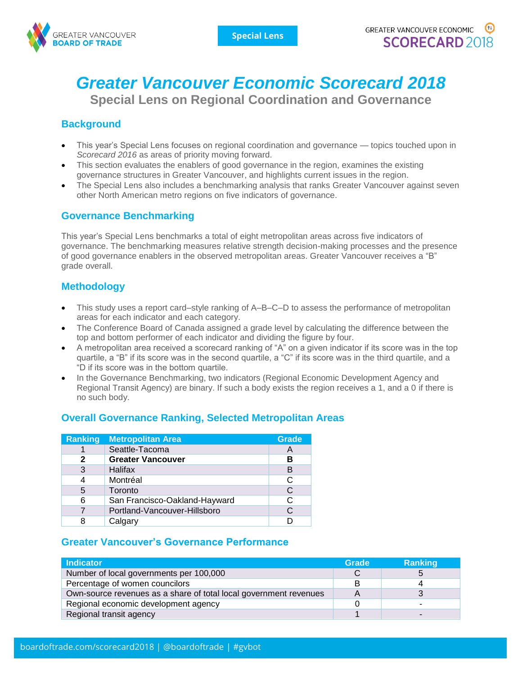

# *Greater Vancouver Economic Scorecard 2018*

**Special Lens on Regional Coordination and Governance**

## **Background**

- This year's Special Lens focuses on regional coordination and governance topics touched upon in *Scorecard 2016* as areas of priority moving forward.
- This section evaluates the enablers of good governance in the region, examines the existing governance structures in Greater Vancouver, and highlights current issues in the region.
- The Special Lens also includes a benchmarking analysis that ranks Greater Vancouver against seven other North American metro regions on five indicators of governance.

### **Governance Benchmarking**

This year's Special Lens benchmarks a total of eight metropolitan areas across five indicators of governance. The benchmarking measures relative strength decision-making processes and the presence of good governance enablers in the observed metropolitan areas. Greater Vancouver receives a "B" grade overall.

### **Methodology**

- This study uses a report card–style ranking of A–B–C–D to assess the performance of metropolitan areas for each indicator and each category.
- The Conference Board of Canada assigned a grade level by calculating the difference between the top and bottom performer of each indicator and dividing the figure by four.
- A metropolitan area received a scorecard ranking of "A" on a given indicator if its score was in the top quartile, a "B" if its score was in the second quartile, a "C" if its score was in the third quartile, and a "D if its score was in the bottom quartile.
- In the Governance Benchmarking, two indicators (Regional Economic Development Agency and Regional Transit Agency) are binary. If such a body exists the region receives a 1, and a 0 if there is no such body.

### **Overall Governance Ranking, Selected Metropolitan Areas**

| <b>Ranking</b> | <b>Metropolitan Area</b>      | Grade |
|----------------|-------------------------------|-------|
|                | Seattle-Tacoma                | A     |
| 2              | <b>Greater Vancouver</b>      | в     |
| 3              | <b>Halifax</b>                | B     |
| 4              | Montréal                      | C     |
| 5              | Toronto                       | C     |
| 6              | San Francisco-Oakland-Hayward | C     |
|                | Portland-Vancouver-Hillsboro  | C     |
| 8              | Calgary                       |       |

### **Greater Vancouver's Governance Performance**

| <b>Indicator</b>                                                  |  | <b>Ranking</b> |
|-------------------------------------------------------------------|--|----------------|
| Number of local governments per 100,000                           |  |                |
| Percentage of women councilors                                    |  |                |
| Own-source revenues as a share of total local government revenues |  |                |
| Regional economic development agency                              |  |                |
| Regional transit agency                                           |  |                |